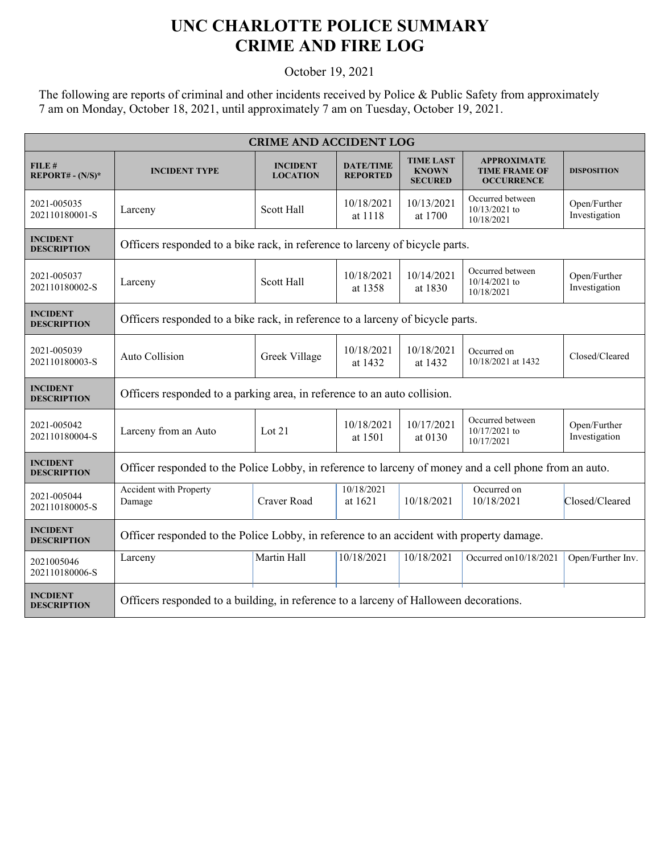## **UNC CHARLOTTE POLICE SUMMARY CRIME AND FIRE LOG**

October 19, 2021

The following are reports of criminal and other incidents received by Police & Public Safety from approximately 7 am on Monday, October 18, 2021, until approximately 7 am on Tuesday, October 19, 2021.

| <b>CRIME AND ACCIDENT LOG</b>         |                                                                                                        |                                    |                                     |                                                    |                                                                 |                               |  |
|---------------------------------------|--------------------------------------------------------------------------------------------------------|------------------------------------|-------------------------------------|----------------------------------------------------|-----------------------------------------------------------------|-------------------------------|--|
| FILE#<br>$REPORT# - (N/S)*$           | <b>INCIDENT TYPE</b>                                                                                   | <b>INCIDENT</b><br><b>LOCATION</b> | <b>DATE/TIME</b><br><b>REPORTED</b> | <b>TIME LAST</b><br><b>KNOWN</b><br><b>SECURED</b> | <b>APPROXIMATE</b><br><b>TIME FRAME OF</b><br><b>OCCURRENCE</b> | <b>DISPOSITION</b>            |  |
| 2021-005035<br>202110180001-S         | Larceny                                                                                                | Scott Hall                         | 10/18/2021<br>at 1118               | 10/13/2021<br>at 1700                              | Occurred between<br>10/13/2021 to<br>10/18/2021                 | Open/Further<br>Investigation |  |
| <b>INCIDENT</b><br><b>DESCRIPTION</b> | Officers responded to a bike rack, in reference to larceny of bicycle parts.                           |                                    |                                     |                                                    |                                                                 |                               |  |
| 2021-005037<br>202110180002-S         | Larceny                                                                                                | <b>Scott Hall</b>                  | 10/18/2021<br>at 1358               | 10/14/2021<br>at 1830                              | Occurred between<br>10/14/2021 to<br>10/18/2021                 | Open/Further<br>Investigation |  |
| <b>INCIDENT</b><br><b>DESCRIPTION</b> | Officers responded to a bike rack, in reference to a larceny of bicycle parts.                         |                                    |                                     |                                                    |                                                                 |                               |  |
| 2021-005039<br>202110180003-S         | Auto Collision                                                                                         | Greek Village                      | 10/18/2021<br>at 1432               | 10/18/2021<br>at 1432                              | Occurred on<br>10/18/2021 at 1432                               | Closed/Cleared                |  |
| <b>INCIDENT</b><br><b>DESCRIPTION</b> | Officers responded to a parking area, in reference to an auto collision.                               |                                    |                                     |                                                    |                                                                 |                               |  |
| 2021-005042<br>202110180004-S         | Larceny from an Auto                                                                                   | Lot $21$                           | 10/18/2021<br>at 1501               | 10/17/2021<br>at 0130                              | Occurred between<br>10/17/2021 to<br>10/17/2021                 | Open/Further<br>Investigation |  |
| <b>INCIDENT</b><br><b>DESCRIPTION</b> | Officer responded to the Police Lobby, in reference to larceny of money and a cell phone from an auto. |                                    |                                     |                                                    |                                                                 |                               |  |
| 2021-005044<br>202110180005-S         | Accident with Property<br>Damage                                                                       | Craver Road                        | 10/18/2021<br>at 1621               | 10/18/2021                                         | Occurred on<br>10/18/2021                                       | Closed/Cleared                |  |
| <b>INCIDENT</b><br><b>DESCRIPTION</b> | Officer responded to the Police Lobby, in reference to an accident with property damage.               |                                    |                                     |                                                    |                                                                 |                               |  |
| 2021005046<br>202110180006-S          | Larceny                                                                                                | Martin Hall                        | 10/18/2021                          | 10/18/2021                                         | Occurred on10/18/2021                                           | Open/Further Inv.             |  |
| <b>INCDIENT</b><br><b>DESCRIPTION</b> | Officers responded to a building, in reference to a larceny of Halloween decorations.                  |                                    |                                     |                                                    |                                                                 |                               |  |